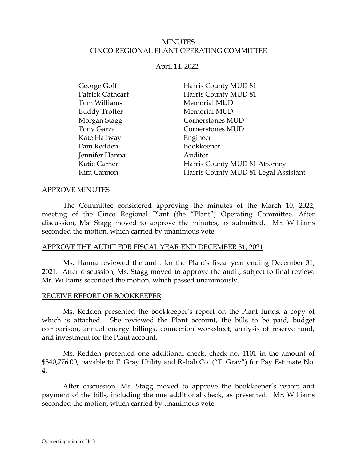### MINUTES CINCO REGIONAL PLANT OPERATING COMMITTEE

### April 14, 2022

| Harris County MUD 81<br>George Goff                |  |
|----------------------------------------------------|--|
| Patrick Cathcart<br>Harris County MUD 81           |  |
| Memorial MUD<br>Tom Williams                       |  |
| <b>Buddy Trotter</b><br>Memorial MUD               |  |
| Morgan Stagg<br>Cornerstones MUD                   |  |
| Tony Garza<br>Cornerstones MUD                     |  |
| Kate Hallway<br>Engineer                           |  |
| Pam Redden<br>Bookkeeper                           |  |
| Jennifer Hanna<br>Auditor                          |  |
| Harris County MUD 81 Attorney<br>Katie Carner      |  |
| Harris County MUD 81 Legal Assistant<br>Kim Cannon |  |

#### APPROVE MINUTES

The Committee considered approving the minutes of the March 10, 2022, meeting of the Cinco Regional Plant (the "Plant") Operating Committee. After discussion, Ms. Stagg moved to approve the minutes, as submitted. Mr. Williams seconded the motion, which carried by unanimous vote.

### APPROVE THE AUDIT FOR FISCAL YEAR END DECEMBER 31, 2021

Ms. Hanna reviewed the audit for the Plant's fiscal year ending December 31, 2021. After discussion, Ms. Stagg moved to approve the audit, subject to final review. Mr. Williams seconded the motion, which passed unanimously.

### RECEIVE REPORT OF BOOKKEEPER

Ms. Redden presented the bookkeeper's report on the Plant funds, a copy of which is attached. She reviewed the Plant account, the bills to be paid, budget comparison, annual energy billings, connection worksheet, analysis of reserve fund, and investment for the Plant account.

Ms. Redden presented one additional check, check no. 1101 in the amount of \$340,776.00, payable to T. Gray Utility and Rehab Co. ("T. Gray") for Pay Estimate No. 4.

After discussion, Ms. Stagg moved to approve the bookkeeper's report and payment of the bills, including the one additional check, as presented. Mr. Williams seconded the motion, which carried by unanimous vote.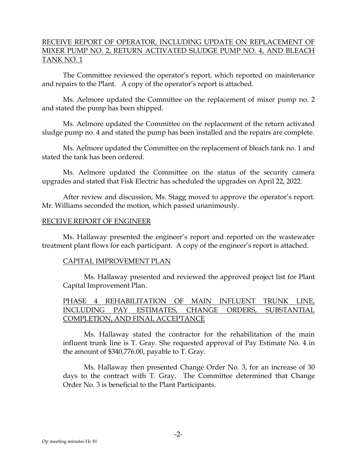## RECEIVE REPORT OF OPERATOR, INCLUDING UPDATE ON REPLACEMENT OF MIXER PUMP NO. 2, RETURN ACTIVATED SLUDGE PUMP NO. 4, AND BLEACH TANK NO. 1

The Committee reviewed the operator's report, which reported on maintenance and repairs to the Plant. A copy of the operator's report is attached.

Ms. Aelmore updated the Committee on the replacement of mixer pump no. 2 and stated the pump has been shipped.

Ms. Aelmore updated the Committee on the replacement of the return activated sludge pump no. 4 and stated the pump has been installed and the repairs are complete.

Ms. Aelmore updated the Committee on the replacement of bleach tank no. 1 and stated the tank has been ordered.

Ms. Aelmore updated the Committee on the status of the security camera upgrades and stated that Fisk Electric has scheduled the upgrades on April 22, 2022.

After review and discussion, Ms. Stagg moved to approve the operator's report. Mr. Williams seconded the motion, which passed unanimously.

### RECEIVE REPORT OF ENGINEER

Ms. Hallaway presented the engineer's report and reported on the wastewater treatment plant flows for each participant. A copy of the engineer's report is attached.

### CAPITAL IMPROVEMENT PLAN

Ms. Hallaway presented and reviewed the approved project list for Plant Capital Improvement Plan.

## PHASE 4 REHABILITATION OF MAIN INFLUENT TRUNK LINE, INCLUDING PAY ESTIMATES, CHANGE ORDERS, SUBSTANTIAL COMPLETION, AND FINAL ACCEPTANCE

Ms. Hallaway stated the contractor for the rehabilitation of the main influent trunk line is T. Gray. She requested approval of Pay Estimate No. 4 in the amount of \$340,776.00, payable to T. Gray.

Ms. Hallaway then presented Change Order No. 3, for an increase of 30 days to the contract with T. Gray. The Committee determined that Change Order No. 3 is beneficial to the Plant Participants.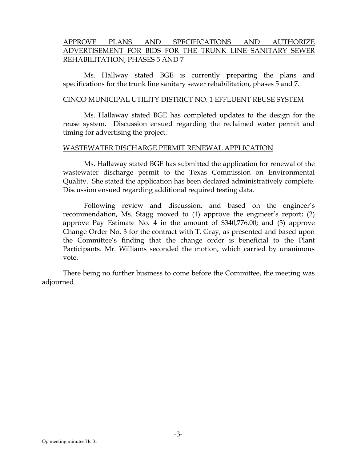## APPROVE PLANS AND SPECIFICATIONS AND AUTHORIZE ADVERTISEMENT FOR BIDS FOR THE TRUNK LINE SANITARY SEWER REHABILITATION, PHASES 5 AND 7

Ms. Hallway stated BGE is currently preparing the plans and specifications for the trunk line sanitary sewer rehabilitation, phases 5 and 7.

### CINCO MUNICIPAL UTILITY DISTRICT NO. 1 EFFLUENT REUSE SYSTEM

Ms. Hallaway stated BGE has completed updates to the design for the reuse system. Discussion ensued regarding the reclaimed water permit and timing for advertising the project.

#### WASTEWATER DISCHARGE PERMIT RENEWAL APPLICATION

Ms. Hallaway stated BGE has submitted the application for renewal of the wastewater discharge permit to the Texas Commission on Environmental Quality. She stated the application has been declared administratively complete. Discussion ensued regarding additional required testing data.

Following review and discussion, and based on the engineer's recommendation, Ms. Stagg moved to (1) approve the engineer's report; (2) approve Pay Estimate No. 4 in the amount of \$340,776.00; and (3) approve Change Order No. 3 for the contract with T. Gray, as presented and based upon the Committee's finding that the change order is beneficial to the Plant Participants. Mr. Williams seconded the motion, which carried by unanimous vote.

There being no further business to come before the Committee, the meeting was adjourned.